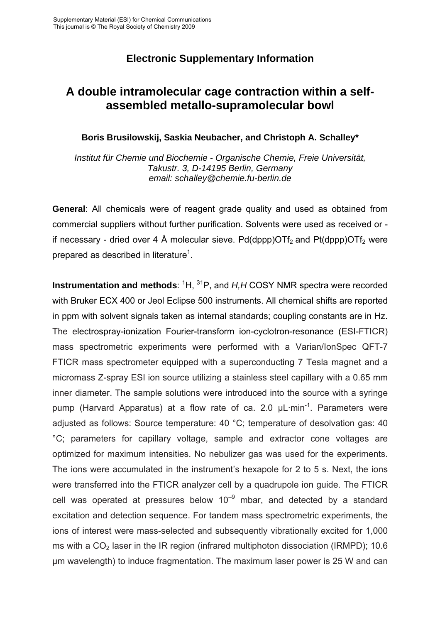## **Electronic Supplementary Information**

# **A double intramolecular cage contraction within a selfassembled metallo-supramolecular bowl**

### **Boris Brusilowskij, Saskia Neubacher, and Christoph A. Schalley\***

*Institut für Chemie und Biochemie - Organische Chemie, Freie Universität, Takustr. 3, D-14195 Berlin, Germany email: schalley@chemie.fu-berlin.de* 

**General:** All chemicals were of reagent grade quality and used as obtained from commercial suppliers without further purification. Solvents were used as received or if necessary - dried over 4 Å molecular sieve. Pd(dppp)OTf<sub>2</sub> and Pt(dppp)OTf<sub>2</sub> were prepared as described in literature<sup>1</sup>.

**Instrumentation and methods**: <sup>1</sup>H, <sup>31</sup>P, and *H,H* COSY NMR spectra were recorded with Bruker ECX 400 or Jeol Eclipse 500 instruments. All chemical shifts are reported in ppm with solvent signals taken as internal standards; coupling constants are in Hz. The electrospray-ionization Fourier-transform ion-cyclotron-resonance (ESI-FTICR) mass spectrometric experiments were performed with a Varian/IonSpec QFT-7 FTICR mass spectrometer equipped with a superconducting 7 Tesla magnet and a micromass Z-spray ESI ion source utilizing a stainless steel capillary with a 0.65 mm inner diameter. The sample solutions were introduced into the source with a syringe pump (Harvard Apparatus) at a flow rate of ca. 2.0  $\mu$ L·min<sup>-1</sup>. Parameters were adjusted as follows: Source temperature: 40 °C; temperature of desolvation gas: 40 °C; parameters for capillary voltage, sample and extractor cone voltages are optimized for maximum intensities. No nebulizer gas was used for the experiments. The ions were accumulated in the instrument's hexapole for 2 to 5 s. Next, the ions were transferred into the FTICR analyzer cell by a quadrupole ion guide. The FTICR cell was operated at pressures below  $10^{-9}$  mbar, and detected by a standard excitation and detection sequence. For tandem mass spectrometric experiments, the ions of interest were mass-selected and subsequently vibrationally excited for 1,000 ms with a  $CO<sub>2</sub>$  laser in the IR region (infrared multiphoton dissociation (IRMPD); 10.6 µm wavelength) to induce fragmentation. The maximum laser power is 25 W and can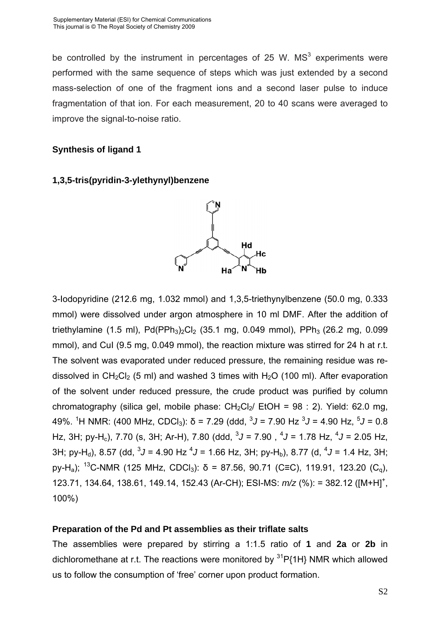be controlled by the instrument in percentages of 25 W.  $MS<sup>3</sup>$  experiments were performed with the same sequence of steps which was just extended by a second mass-selection of one of the fragment ions and a second laser pulse to induce fragmentation of that ion. For each measurement, 20 to 40 scans were averaged to improve the signal-to-noise ratio.

#### **Synthesis of ligand 1**





3-Iodopyridine (212.6 mg, 1.032 mmol) and 1,3,5-triethynylbenzene (50.0 mg, 0.333 mmol) were dissolved under argon atmosphere in 10 ml DMF. After the addition of triethylamine (1.5 ml), Pd(PPh<sub>3</sub>)<sub>2</sub>Cl<sub>2</sub> (35.1 mg, 0.049 mmol), PPh<sub>3</sub> (26.2 mg, 0.099 mmol), and CuI (9.5 mg, 0.049 mmol), the reaction mixture was stirred for 24 h at r.t. The solvent was evaporated under reduced pressure, the remaining residue was redissolved in CH<sub>2</sub>Cl<sub>2</sub> (5 ml) and washed 3 times with H<sub>2</sub>O (100 ml). After evaporation of the solvent under reduced pressure, the crude product was purified by column chromatography (silica gel, mobile phase:  $CH_2Cl_2/$  EtOH = 98 : 2). Yield: 62.0 mg, 49%. <sup>1</sup>H NMR: (400 MHz, CDCl<sub>3</sub>): δ = 7.29 (ddd, <sup>3</sup>J = 7.90 Hz <sup>3</sup>J = 4.90 Hz, <sup>5</sup>J = 0.8 Hz, 3H; py-H<sub>c</sub>), 7.70 (s, 3H; Ar-H), 7.80 (ddd, <sup>3</sup>J = 7.90, <sup>4</sup>J = 1.78 Hz, <sup>4</sup>J = 2.05 Hz, 3H; py-H<sub>d</sub>), 8.57 (dd, <sup>3</sup>J = 4.90 Hz <sup>4</sup>J = 1.66 Hz, 3H; py-H<sub>b</sub>), 8.77 (d, <sup>4</sup>J = 1.4 Hz, 3H; py-H<sub>a</sub>); <sup>13</sup>C-NMR (125 MHz, CDCl<sub>3</sub>): δ = 87.56, 90.71 (C=C), 119.91, 123.20 (C<sub>0</sub>), 123.71, 134.64, 138.61, 149.14, 152.43 (Ar-CH); ESI-MS:  $m/z$  (%): = 382.12 ([M+H]<sup>+</sup>, 100%)

#### **Preparation of the Pd and Pt assemblies as their triflate salts**

The assemblies were prepared by stirring a 1:1.5 ratio of **1** and **2a** or **2b** in dichloromethane at r.t. The reactions were monitored by  $31P\{1H\}$  NMR which allowed us to follow the consumption of 'free' corner upon product formation.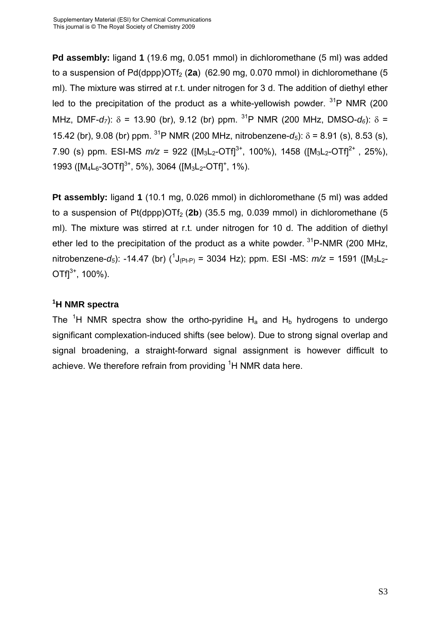**Pd assembly:** ligand **1** (19.6 mg, 0.051 mmol) in dichloromethane (5 ml) was added to a suspension of  $Pd(dopp)OTf<sub>2</sub> (2a)$  (62.90 mg, 0.070 mmol) in dichloromethane (5 ml). The mixture was stirred at r.t. under nitrogen for 3 d. The addition of diethyl ether led to the precipitation of the product as a white-yellowish powder.  $31P$  NMR (200) MHz, DMF-*d<sub>7</sub>*):  $\delta$  = 13.90 (br), 9.12 (br) ppm. <sup>31</sup>P NMR (200 MHz, DMSO-*d<sub>6</sub>*):  $\delta$  = 15.42 (br), 9.08 (br) ppm. <sup>31</sup>P NMR (200 MHz, nitrobenzene- $d_5$ ):  $\delta$  = 8.91 (s), 8.53 (s), 7.90 (s) ppm. ESI-MS  $m/z = 922$  ( $[M_3L_2-OTf]^{3+}$ , 100%), 1458 ( $[M_3L_2-OTf]^{2+}$ , 25%), 1993 ( $[M_4L_6$ -3OTf]<sup>3+</sup>, 5%), 3064 ( $[M_3L_2$ -OTf]<sup>+</sup>, 1%).

**Pt assembly:** ligand **1** (10.1 mg, 0.026 mmol) in dichloromethane (5 ml) was added to a suspension of  $Pt(dppp)$ OTf<sub>2</sub> (2b) (35.5 mg, 0.039 mmol) in dichloromethane (5 ml). The mixture was stirred at r.t. under nitrogen for 10 d. The addition of diethyl ether led to the precipitation of the product as a white powder.  $31P\text{-}NMR$  (200 MHz, nitrobenzene-*d<sub>5</sub>*): -14.47 (br)  $({}^{1}J_{(Pt-P)} = 3034$  Hz); ppm. ESI -MS:  $m/z = 1591$  ([M<sub>3</sub>L<sub>2</sub>- $OTf1^{3+}$ , 100%).

### **1 H NMR spectra**

The <sup>1</sup>H NMR spectra show the ortho-pyridine  $H_a$  and  $H_b$  hydrogens to undergo significant complexation-induced shifts (see below). Due to strong signal overlap and signal broadening, a straight-forward signal assignment is however difficult to achieve. We therefore refrain from providing <sup>1</sup>H NMR data here.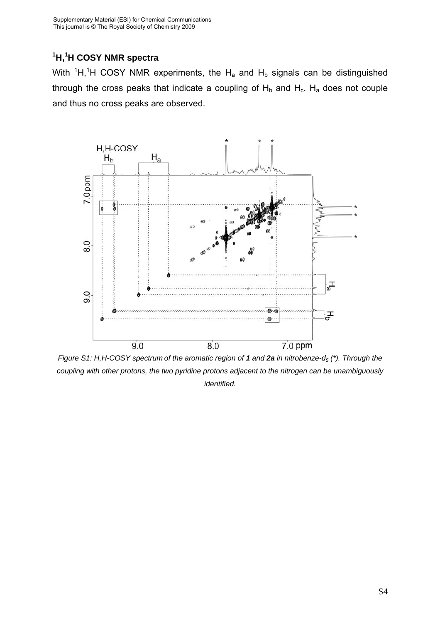## **1 H,<sup>1</sup> H COSY NMR spectra**

With  ${}^{1}H,{}^{1}H$  COSY NMR experiments, the H<sub>a</sub> and H<sub>b</sub> signals can be distinguished through the cross peaks that indicate a coupling of  $H_b$  and  $H_c$ .  $H_a$  does not couple and thus no cross peaks are observed.



*Figure S1: H,H-COSY spectrum of the aromatic region of 1 and 2a in nitrobenze-d5 (\*). Through the coupling with other protons, the two pyridine protons adjacent to the nitrogen can be unambiguously identified.*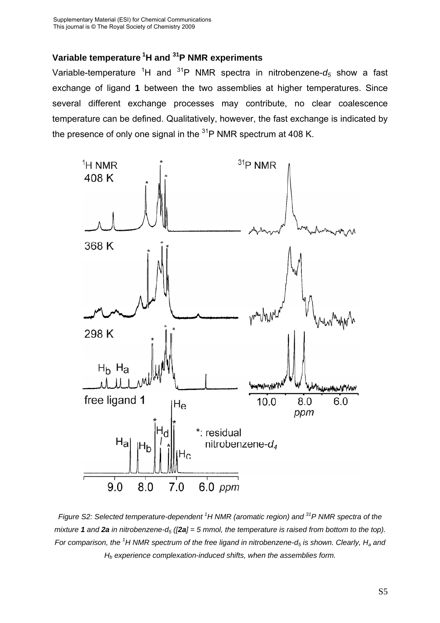## **Variable temperature 1H and 31P NMR experiments**

Variable-temperature <sup>1</sup>H and <sup>31</sup>P NMR spectra in nitrobenzene-d<sub>5</sub> show a fast exchange of ligand **1** between the two assemblies at higher temperatures. Since several different exchange processes may contribute, no clear coalescence temperature can be defined. Qualitatively, however, the fast exchange is indicated by the presence of only one signal in the  $31P$  NMR spectrum at 408 K.



*Figure S2: Selected temperature-dependent <sup>1</sup> H NMR (aromatic region) and 31P NMR spectra of the mixture* **1** and **2a** *in nitrobenzene-d<sub>5</sub> ([2a] = 5 mmol, the temperature is raised from bottom to the top).* For comparison, the <sup>1</sup>H NMR spectrum of the free ligand in nitrobenzene-d<sub>5</sub> is shown. Clearly, H<sub>a</sub> and *Hb experience complexation-induced shifts, when the assemblies form.*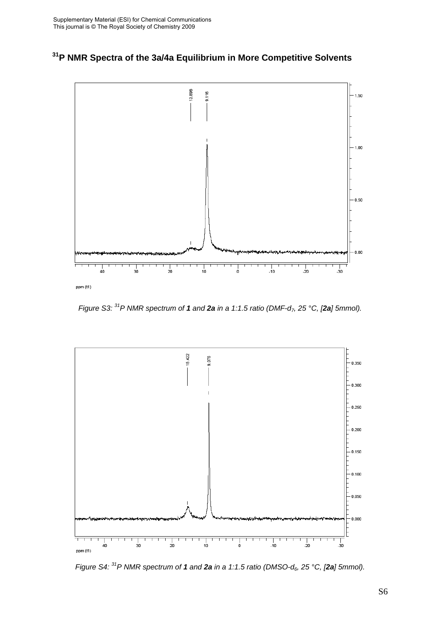



*Figure S3:* <sup>31</sup> P NMR spectrum of **1** and **2a** in a 1:1.5 ratio (DMF-d<sub>7</sub>, 25 °C, [2a] 5mmol).



*Figure S4: 31P NMR spectrum of 1 and 2a in a 1:1.5 ratio (DMSO-d6, 25 °C, [2a] 5mmol).*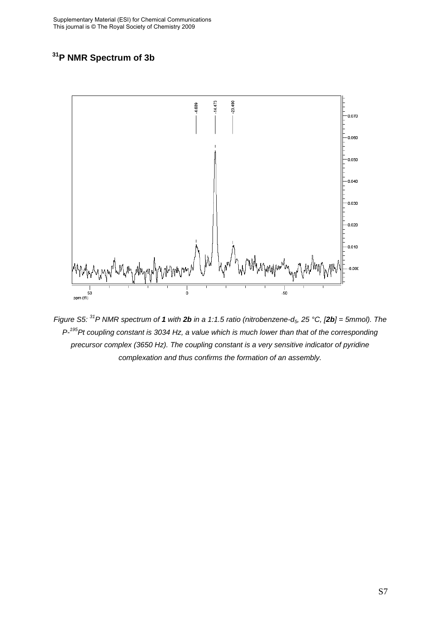# **31P NMR Spectrum of 3b**



*Figure S5:* <sup>31</sup>P NMR spectrum of **1** with **2b** in a 1:1.5 ratio (nitrobenzene-d<sub>5</sub>, 25 °C, [2b] = 5mmol). The *P-195Pt coupling constant is 3034 Hz, a value which is much lower than that of the corresponding precursor complex (3650 Hz). The coupling constant is a very sensitive indicator of pyridine complexation and thus confirms the formation of an assembly.*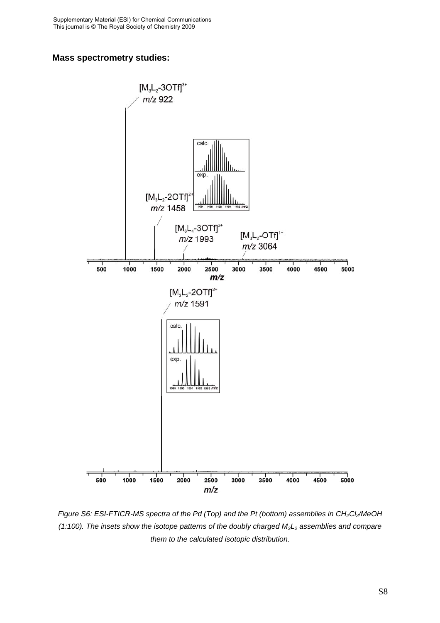#### **Mass spectrometry studies:**



*Figure S6: ESI-FTICR-MS spectra of the Pd (Top) and the Pt (bottom) assemblies in CH<sub>2</sub>Cl<sub>2</sub>/MeOH (1:100). The insets show the isotope patterns of the doubly charged M3L2 assemblies and compare them to the calculated isotopic distribution.*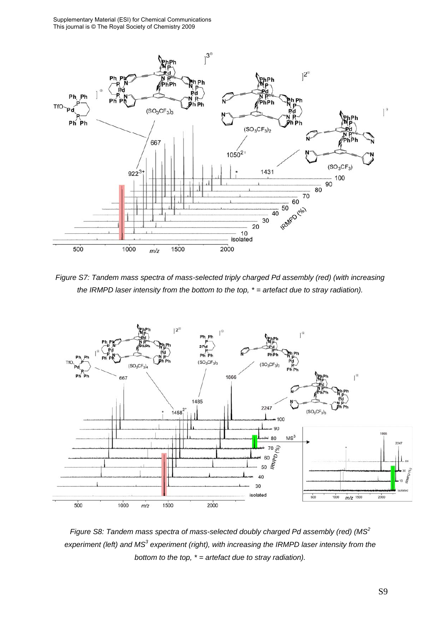Supplementary Material (ESI) for Chemical Communications This journal is © The Royal Society of Chemistry 2009



*Figure S7: Tandem mass spectra of mass-selected triply charged Pd assembly (red) (with increasing the IRMPD laser intensity from the bottom to the top, \* = artefact due to stray radiation).* 



*Figure S8: Tandem mass spectra of mass-selected doubly charged Pd assembly (red) (MS<sup>2</sup>* experiment (left) and MS<sup>3</sup> experiment (right), with increasing the IRMPD laser intensity from the *bottom to the top, \* = artefact due to stray radiation).*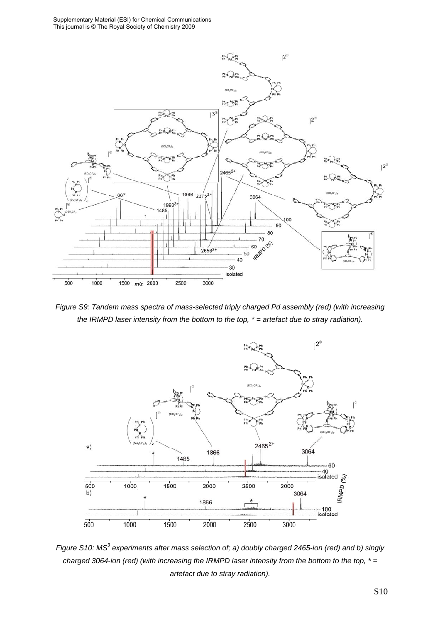

*Figure S9: Tandem mass spectra of mass-selected triply charged Pd assembly (red) (with increasing the IRMPD laser intensity from the bottom to the top, \* = artefact due to stray radiation).* 



Figure S10: MS<sup>3</sup> experiments after mass selection of; a) doubly charged 2465-ion (red) and b) singly *charged 3064-ion (red) (with increasing the IRMPD laser intensity from the bottom to the top, \* = artefact due to stray radiation).*